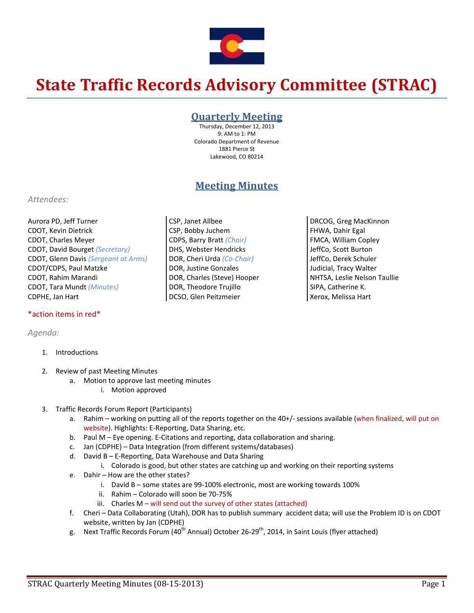

# **State Traffic Records Advisory Committee (STRAC)**

### **Quarterly Meeting**

Thursday, December 12, 2013 9: AM to 1: PM Colorado Department of Revenue 1881 Pierce St Lakewood, CO 80214

## **Meeting Minutes**

CSP, Janet Allbee CSP, Bobby Juchem CDPS, Barry Bratt *(Chair)* DHS, Webster Hendricks DOR, Cheri Urda *(Co‐Chair)* DOR, Justine Gonzales DOR, Charles (Steve) Hooper DOR, Theodore Trujillo DCSO, Glen Peitzmeier

#### *Attendees:*

Aurora PD, Jeff Turner CDOT, Kevin Dietrick CDOT, Charles Meyer CDOT, David Bourget *(Secretary)* CDOT, Glenn Davis *(Sergeant at Arms)* CDOT/CDPS, Paul Matzke CDOT, Rahim Marandi CDOT, Tara Mundt *(Minutes)* CDPHE, Jan Hart

#### \*action items in red\*

#### *Agenda:*

- 1. Introductions
- 2. Review of past Meeting Minutes
	- a. Motion to approve last meeting minutes
		- i. Motion approved
- 3. Traffic Records Forum Report (Participants)
	- a. Rahim working on putting all of the reports together on the 40+/‐ sessions available (when finalized, will put on website). Highlights: E‐Reporting, Data Sharing, etc.
	- b. Paul M Eye opening. E‐Citations and reporting, data collaboration and sharing.
	- c. Jan (CDPHE) Data Integration (from different systems/databases)
	- d. David B E‐Reporting, Data Warehouse and Data Sharing
		- i. Colorado is good, but other states are catching up and working on their reporting systems
	- e. Dahir How are the other states?
		- i. David B some states are 99-100% electronic, most are working towards 100%
		- ii. Rahim Colorado will soon be 70‐75%
		- iii. Charles  $M$  will send out the survey of other states (attached)
	- f. Cheri Data Collaborating (Utah), DOR has to publish summary accident data; will use the Problem ID is on CDOT website, written by Jan (CDPHE)
	- g. Next Traffic Records Forum (40<sup>th</sup> Annual) October 26-29<sup>th</sup>, 2014, in Saint Louis (flyer attached)

DRCOG, Greg MacKinnon FHWA, Dahir Egal FMCA, William Copley JeffCo, Scott Burton JeffCo, Derek Schuler Judicial, Tracy Walter NHTSA, Leslie Nelson Taullie SIPA, Catherine K. Xerox, Melissa Hart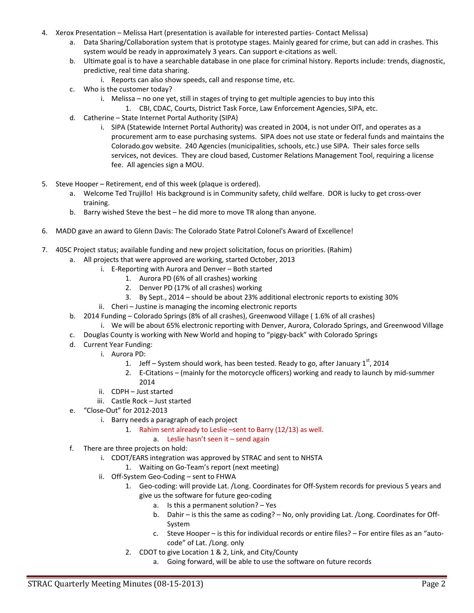- 4. Xerox Presentation Melissa Hart (presentation is available for interested parties‐ Contact Melissa)
	- a. Data Sharing/Collaboration system that is prototype stages. Mainly geared for crime, but can add in crashes. This system would be ready in approximately 3 years. Can support e‐citations as well.
	- b. Ultimate goal is to have a searchable database in one place for criminal history. Reports include: trends, diagnostic, predictive, real time data sharing.
		- i. Reports can also show speeds, call and response time, etc.
	- c. Who is the customer today?
		- i. Melissa no one yet, still in stages of trying to get multiple agencies to buy into this
			- 1. CBI, CDAC, Courts, District Task Force, Law Enforcement Agencies, SIPA, etc.
	- d. Catherine State Internet Portal Authority (SIPA)
		- i. SIPA (Statewide Internet Portal Authority) was created in 2004, is not under OIT, and operates as a procurement arm to ease purchasing systems. SIPA does not use state or federal funds and maintains the Colorado.gov website. 240 Agencies (municipalities, schools, etc.) use SIPA. Their sales force sells services, not devices. They are cloud based, Customer Relations Management Tool, requiring a license fee. All agencies sign a MOU.
- 5. Steve Hooper Retirement, end of this week (plaque is ordered).
	- a. Welcome Ted Trujillo! His background is in Community safety, child welfare. DOR is lucky to get cross-over training.
	- b. Barry wished Steve the best he did more to move TR along than anyone.
- 6. MADD gave an award to Glenn Davis: The Colorado State Patrol Colonel's Award of Excellence!
- 7. 405C Project status; available funding and new project solicitation, focus on priorities. (Rahim)
	- a. All projects that were approved are working, started October, 2013
		- i. E‐Reporting with Aurora and Denver Both started
			- 1. Aurora PD (6% of all crashes) working
			- 2. Denver PD (17% of all crashes) working
			- 3. By Sept., 2014 should be about 23% additional electronic reports to existing 30%
		- ii. Cheri Justine is managing the incoming electronic reports
	- b. 2014 Funding Colorado Springs (8% of all crashes), Greenwood Village ( 1.6% of all crashes)
		- i. We will be about 65% electronic reporting with Denver, Aurora, Colorado Springs, and Greenwood Village
	- c. Douglas County is working with New World and hoping to "piggy‐back" with Colorado Springs
	- d. Current Year Funding:
		- i. Aurora PD:
			- 1. Jeff System should work, has been tested. Ready to go, after January 1st, 2014
			- 2. E-Citations (mainly for the motorcycle officers) working and ready to launch by mid-summer
			- 2014
		- ii. CDPH Just started
		- iii. Castle Rock Just started
	- e. "Close‐Out" for 2012‐2013
		- i. Barry needs a paragraph of each project
			- 1. Rahim sent already to Leslie –sent to Barry (12/13) as well.
				- a. Leslie hasn't seen it send again
	- f. There are three projects on hold:
		- i. CDOT/EARS integration was approved by STRAC and sent to NHSTA
			- 1. Waiting on Go‐Team's report (next meeting)
		- ii. Off‐System Geo‐Coding sent to FHWA
			- 1. Geo‐coding: will provide Lat. /Long. Coordinates for Off‐System records for previous 5 years and give us the software for future geo‐coding
				- a. Is this a permanent solution? Yes
				- b. Dahir is this the same as coding? No, only providing Lat. /Long. Coordinates for Off‐ System
				- c. Steve Hooper is this for individual records or entire files? For entire files as an "auto‐ code" of Lat. /Long. only
			- 2. CDOT to give Location 1 & 2, Link, and City/County
				- a. Going forward, will be able to use the software on future records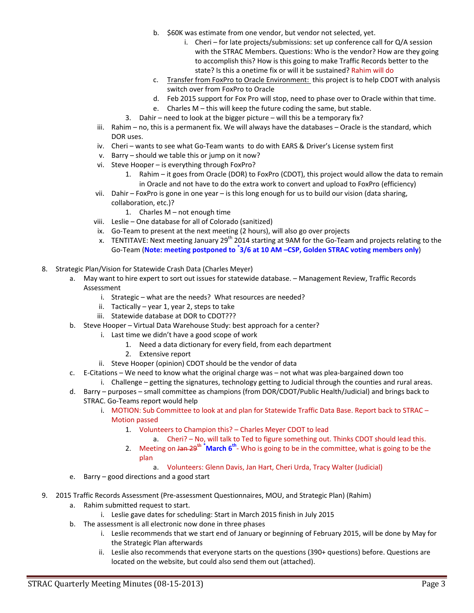- b. \$60K was estimate from one vendor, but vendor not selected, yet.
	- i. Cheri for late projects/submissions: set up conference call for Q/A session with the STRAC Members. Questions: Who is the vendor? How are they going to accomplish this? How is this going to make Traffic Records better to the state? Is this a onetime fix or will it be sustained? Rahim will do
- c. Transfer from FoxPro to Oracle Environment: this project is to help CDOT with analysis switch over from FoxPro to Oracle
- d. Feb 2015 support for Fox Pro will stop, need to phase over to Oracle within that time.
- e. Charles M this will keep the future coding the same, but stable.
- 3. Dahir need to look at the bigger picture will this be a temporary fix?
- iii. Rahim no, this is a permanent fix. We will always have the databases Oracle is the standard, which DOR uses.
- iv. Cheri wants to see what Go-Team wants to do with EARS & Driver's License system first
- v. Barry should we table this or jump on it now?
- vi. Steve Hooper is everything through FoxPro?
	- 1. Rahim it goes from Oracle (DOR) to FoxPro (CDOT), this project would allow the data to remain in Oracle and not have to do the extra work to convert and upload to FoxPro (efficiency)
- vii. Dahir FoxPro is gone in one year is this long enough for us to build our vision (data sharing, collaboration, etc.)?
	- 1. Charles M not enough time
- viii. Leslie One database for all of Colorado (sanitized)
- ix. Go-Team to present at the next meeting (2 hours), will also go over projects
- x. TENTITAVE: Next meeting January 29<sup>th</sup> 2014 starting at 9AM for the Go-Team and projects relating to the Go‐Team (**Note: meeting postponed to \* 3/6 at 10 AM –CSP, Golden STRAC voting members only**)
- 8. Strategic Plan/Vision for Statewide Crash Data (Charles Meyer)
	- a. May want to hire expert to sort out issues for statewide database. Management Review, Traffic Records Assessment
		- i. Strategic what are the needs? What resources are needed?
		- ii. Tactically year 1, year 2, steps to take
		- iii. Statewide database at DOR to CDOT???
	- b. Steve Hooper Virtual Data Warehouse Study: best approach for a center?
		- i. Last time we didn't have a good scope of work
			- 1. Need a data dictionary for every field, from each department
			- 2. Extensive report
		- ii. Steve Hooper (opinion) CDOT should be the vendor of data
	- c. E‐Citations We need to know what the original charge was not what was plea‐bargained down too
		- i. Challenge getting the signatures, technology getting to Judicial through the counties and rural areas.
	- d. Barry purposes small committee as champions (from DOR/CDOT/Public Health/Judicial) and brings back to STRAC. Go‐Teams report would help
		- i. MOTION: Sub Committee to look at and plan for Statewide Traffic Data Base. Report back to STRAC Motion passed
			- 1. Volunteers to Champion this? Charles Meyer CDOT to lead
				- a. Cheri? No, will talk to Ted to figure something out. Thinks CDOT should lead this.
			- 2. Meeting on <del>Jan 29<sup>th</sup></del> <sup>\*</sup>March 6<sup>th</sup>- Who is going to be in the committee, what is going to be the plan
				- a. Volunteers: Glenn Davis, Jan Hart, Cheri Urda, Tracy Walter (Judicial)
	- e. Barry good directions and a good start
- 9. 2015 Traffic Records Assessment (Pre-assessment Questionnaires, MOU, and Strategic Plan) (Rahim)
	- a. Rahim submitted request to start.
		- i. Leslie gave dates for scheduling: Start in March 2015 finish in July 2015
	- b. The assessment is all electronic now done in three phases
		- i. Leslie recommends that we start end of January or beginning of February 2015, will be done by May for the Strategic Plan afterwards
		- ii. Leslie also recommends that everyone starts on the questions (390+ questions) before. Questions are located on the website, but could also send them out (attached).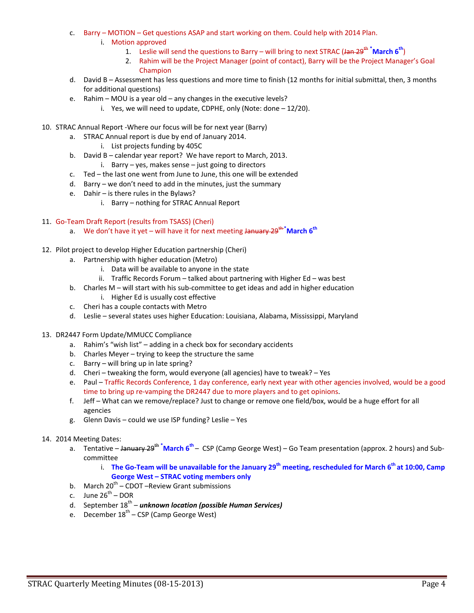- c. Barry MOTION Get questions ASAP and start working on them. Could help with 2014 Plan.
	- i. Motion approved
		- 1. Leslie will send the questions to Barry will bring to next STRAC (Jan 29<sup>th \*</sup>March 6<sup>th</sup>)
		- 2. Rahim will be the Project Manager (point of contact), Barry will be the Project Manager's Goal Champion
- d. David B Assessment has less questions and more time to finish (12 months for initial submittal, then, 3 months for additional questions)
- e. Rahim MOU is a year old any changes in the executive levels?
	- i. Yes, we will need to update, CDPHE, only (Note: done  $-12/20$ ).
- 10. STRAC Annual Report ‐Where our focus will be for next year (Barry)
	- a. STRAC Annual report is due by end of January 2014.
		- i. List projects funding by 405C
	- b. David B calendar year report? We have report to March, 2013. i. Barry – yes, makes sense – just going to directors
	- c. Ted the last one went from June to June, this one will be extended
	- d. Barry we don't need to add in the minutes, just the summary
	- e. Dahir is there rules in the Bylaws?
		- i. Barry nothing for STRAC Annual Report

#### 11. Go-Team Draft Report (results from TSASS) (Cheri)

- a. We don't have it yet will have it for next meeting <del>January 29<sup>th \*</sup>March</del> 6<sup>th</sup>
- 12. Pilot project to develop Higher Education partnership (Cheri)
	- a. Partnership with higher education (Metro)
		- i. Data will be available to anyone in the state
		- ii. Traffic Records Forum talked about partnering with Higher Ed was best
	- b. Charles M will start with his sub-committee to get ideas and add in higher education
		- i. Higher Ed is usually cost effective
	- c. Cheri has a couple contacts with Metro
	- d. Leslie several states uses higher Education: Louisiana, Alabama, Mississippi, Maryland
- 13. DR2447 Form Update/MMUCC Compliance
	- a. Rahim's "wish list" adding in a check box for secondary accidents
	- b. Charles Meyer trying to keep the structure the same
	- c. Barry will bring up in late spring?
	- d. Cheri tweaking the form, would everyone (all agencies) have to tweak? Yes
	- e. Paul Traffic Records Conference, 1 day conference, early next year with other agencies involved, would be a good time to bring up re-vamping the DR2447 due to more players and to get opinions.
	- f. Jeff What can we remove/replace? Just to change or remove one field/box, would be a huge effort for all agencies
	- g. Glenn Davis could we use ISP funding? Leslie Yes

#### 14. 2014 Meeting Dates:

- a. Tentative <del>January 29<sup>th</sup></del> <sup>\*</sup>March 6<sup>th</sup> CSP (Camp George West) Go Team presentation (approx. 2 hours) and Subcommittee
	- i. The Go-Team will be unavailable for the January 29<sup>th</sup> meeting, rescheduled for March  $6<sup>th</sup>$  at 10:00, Camp **George West – STRAC voting members only**
- b. March  $20^{th}$  CDOT –Review Grant submissions
- c. June  $26^{th}$  DOR
- d. September 18th *unknown location (possible Human Services)*
- e. December  $18^{th}$  CSP (Camp George West)